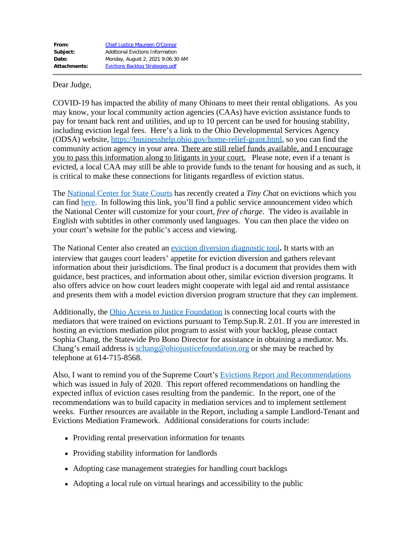Dear Judge,

COVID-19 has impacted the ability of many Ohioans to meet their rental obligations. As you may know, your local community action agencies (CAAs) have eviction assistance funds to pay for tenant back rent and utilities, and up to 10 percent can be used for housing stability, including eviction legal fees. Here's a link to the Ohio Developmental Services Agency (ODSA) website, [https://businesshelp.ohio.gov/home-relief-grant.html](https://urldefense.proofpoint.com/v2/url?u=https-3A__businesshelp.ohio.gov_home-2Drelief-2Dgrant.html&d=DwMF3g&c=6KMr9aKcY5ZeTt8IYXTvlC5MSwtdlUYOCK3E7eNqHsk&r=RIcopx2VNf92ePZa2mry4dJg8MVFt1RtKjELY7Jx5XE&m=6B8An2e7GpgBlw4ZYPR8GdnJyunbOQminkTBAeqndd4&s=Enq0Sna_okHlrs1yNJTg3gWUwLV0wvBoZP6_FGhIMDM&e=), so you can find the community action agency in your area. There are still relief funds available, and I encourage you to pass this information along to litigants in your court. Please note, even if a tenant is evicted, a local CAA may still be able to provide funds to the tenant for housing and as such, it is critical to make these connections for litigants regardless of eviction status.

The [National Center for State Courts](https://www.ncsc.org/) has recently created a *Tiny Chat* on evictions which you can find [here](https://www.ncsc.org/newsroom/public-health-emergency/tiny-chats?SQ_VARIATION_28424=0). In following this link, you'll find a public service announcement video which the National Center will customize for your court, *free of charge*. The video is available in English with subtitles in other commonly used languages. You can then place the video on your court's website for the public's access and viewing.

The National Center also created an [eviction diversion diagnostic tool](https://ncsc.app.law/eviction-diversion-court-diagnostic-tool)**.** It starts with an interview that gauges court leaders' appetite for eviction diversion and gathers relevant information about their jurisdictions. The final product is a document that provides them with guidance, best practices, and information about other, similar eviction diversion programs. It also offers advice on how court leaders might cooperate with legal aid and rental assistance and presents them with a model eviction diversion program structure that they can implement.

Additionally, the [Ohio Access to Justice Foundation](https://www.ohiojusticefoundation.org/) is connecting local courts with the mediators that were trained on evictions pursuant to Temp.Sup.R. 2.01. If you are interested in hosting an evictions mediation pilot program to assist with your backlog, please contact Sophia Chang, the Statewide Pro Bono Director for assistance in obtaining a mediator. Ms. Chang's email address is [schang@ohiojusticefoundation.org](mailto:schang@ohiojusticefoundation.org) or she may be reached by telephone at 614-715-8568.

Also, I want to remind you of the Supreme Court's [Evictions Report and Recommendations](https://www.supremecourt.ohio.gov/Publications/JCS/evictionsReport.pdf) which was issued in July of 2020. This report offered recommendations on handling the expected influx of eviction cases resulting from the pandemic. In the report, one of the recommendations was to build capacity in mediation services and to implement settlement weeks. Further resources are available in the Report, including a sample Landlord-Tenant and Evictions Mediation Framework. Additional considerations for courts include:

- Providing rental preservation information for tenants
- Providing stability information for landlords
- Adopting case management strategies for handling court backlogs
- Adopting a local rule on virtual hearings and accessibility to the public